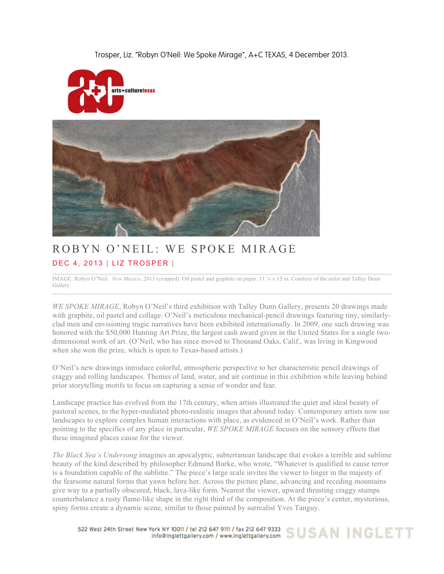Trosper, Liz. "Robyn O'Neil: We Spoke Mirage", A+C TEXAS, 4 December 2013.





## ROBYN O'NEIL: WE SPOKE MIRAGE DEC 4, 2013 | LIZ TROSPER |

IMAGE: Robyn O'Neil. *New Mexico*, 2013 (cropped). Oil pastel and graphite on paper. 11 ¼ x 15 in. Courtesy of the artist and Talley Dunn Gallery.

*WE SPOKE MIRAGE*, Robyn O'Neil's third exhibition with Talley Dunn Gallery, presents 20 drawings made with graphite, oil pastel and collage. O'Neil's meticulous mechanical-pencil drawings featuring tiny, similarlyclad men and envisioning tragic narratives have been exhibited internationally. In 2009, one such drawing was honored with the \$50,000 Hunting Art Prize, the largest cash award given in the United States for a single twodimensional work of art. (O'Neil, who has since moved to Thousand Oaks, Calif., was living in Kingwood when she won the prize, which is open to Texas-based artists.)

O'Neil's new drawings introduce colorful, atmospheric perspective to her characteristic pencil drawings of craggy and rolling landscapes. Themes of land, water, and air continue in this exhibition while leaving behind prior storytelling motifs to focus on capturing a sense of wonder and fear.

Landscape practice has evolved from the 17th century, when artists illustrated the quiet and ideal beauty of pastoral scenes, to the hyper-mediated photo-realistic images that abound today. Contemporary artists now use landscapes to explore complex human interactions with place, as evidenced in O'Neil's work. Rather than pointing to the specifics of any place in particular, *WE SPOKE MIRAGE* focuses on the sensory effects that these imagined places cause for the viewer.

*The Black Sea's Undersong* imagines an apocalyptic, subterranean landscape that evokes a terrible and sublime beauty of the kind described by philosopher Edmund Burke, who wrote, "Whatever is qualified to cause terror is a foundation capable of the sublime." The piece's large scale invites the viewer to linger in the majesty of the fearsome natural forms that yawn before her. Across the picture plane, advancing and receding mountains give way to a partially obscured, black, lava-like form. Nearest the viewer, upward thrusting craggy stumps counterbalance a rusty flame-like shape in the right third of the composition. At the piece's center, mysterious, spiny forms create a dynamic scene, similar to those painted by surrealist Yves Tanguy.

522 West 24th Street New York NY 10011 / tel 212 647 9111 / fax 212 647 9333 SUSAN INGLETT